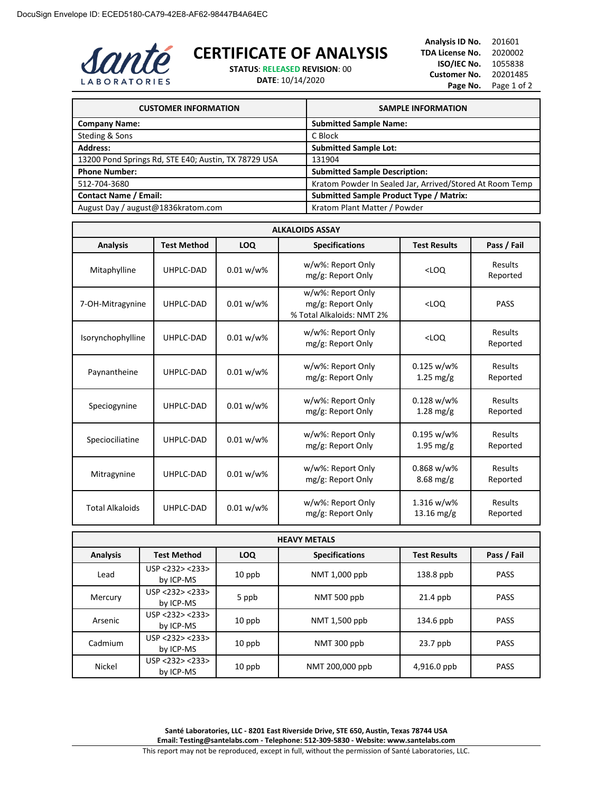

## **CERTIFICATE OF ANALYSIS**

**STATUS**: **RELEASED REVISION**: 00

**DATE**: 10/14/2020

**Analysis ID No.** 201601 **TDA License No.** 2020002 **ISO/IEC No.** 1055838 **Customer No.** 20201485 Page No. Page 1 of 2

| <b>CUSTOMER INFORMATION</b>                          | <b>SAMPLE INFORMATION</b>                                |
|------------------------------------------------------|----------------------------------------------------------|
| <b>Company Name:</b>                                 | <b>Submitted Sample Name:</b>                            |
| Steding & Sons                                       | C Block                                                  |
| <b>Address:</b>                                      | <b>Submitted Sample Lot:</b>                             |
| 13200 Pond Springs Rd, STE E40; Austin, TX 78729 USA | 131904                                                   |
| <b>Phone Number:</b>                                 | <b>Submitted Sample Description:</b>                     |
| 512-704-3680                                         | Kratom Powder In Sealed Jar, Arrived/Stored At Room Temp |
| <b>Contact Name / Email:</b>                         | <b>Submitted Sample Product Type / Matrix:</b>           |
| August Day / august@1836kratom.com                   | Kratom Plant Matter / Powder                             |

| <b>ALKALOIDS ASSAY</b> |                    |              |                                                                     |                                   |                     |
|------------------------|--------------------|--------------|---------------------------------------------------------------------|-----------------------------------|---------------------|
| <b>Analysis</b>        | <b>Test Method</b> | <b>LOQ</b>   | <b>Specifications</b>                                               | <b>Test Results</b>               | Pass / Fail         |
| Mitaphylline           | UHPLC-DAD          | 0.01 w/w%    | w/w%: Report Only<br>mg/g: Report Only                              | $<$ LOQ                           | Results<br>Reported |
| 7-OH-Mitragynine       | UHPLC-DAD          | $0.01 w/w$ % | w/w%: Report Only<br>mg/g: Report Only<br>% Total Alkaloids: NMT 2% | $<$ LOQ                           | <b>PASS</b>         |
| Isorynchophylline      | UHPLC-DAD          | 0.01 w/w%    | w/w%: Report Only<br>mg/g: Report Only                              | $<$ LOQ                           | Results<br>Reported |
| Paynantheine           | UHPLC-DAD          | $0.01 w/w$ % | w/w%: Report Only<br>mg/g: Report Only                              | 0.125 w/w%<br>$1.25 \text{ mg/g}$ | Results<br>Reported |
| Speciogynine           | UHPLC-DAD          | $0.01 w/w$ % | w/w%: Report Only<br>mg/g: Report Only                              | $0.128 w/w$ %<br>$1.28$ mg/g      | Results<br>Reported |
| Speciociliatine        | UHPLC-DAD          | $0.01 w/w$ % | w/w%: Report Only<br>mg/g: Report Only                              | 0.195 w/w%<br>$1.95$ mg/g         | Results<br>Reported |
| Mitragynine            | UHPLC-DAD          | $0.01 w/w$ % | w/w%: Report Only<br>mg/g: Report Only                              | $0.868 w/w$ %<br>$8.68$ mg/g      | Results<br>Reported |
| <b>Total Alkaloids</b> | UHPLC-DAD          | $0.01 w/w$ % | w/w%: Report Only<br>mg/g: Report Only                              | 1.316 w/w%<br>13.16 mg/g          | Results<br>Reported |

| <b>HEAVY METALS</b> |                              |            |                       |                     |             |
|---------------------|------------------------------|------------|-----------------------|---------------------|-------------|
| <b>Analysis</b>     | <b>Test Method</b>           | <b>LOQ</b> | <b>Specifications</b> | <b>Test Results</b> | Pass / Fail |
| Lead                | USP < 232 > 233<br>by ICP-MS | $10$ ppb   | NMT 1,000 ppb         | 138.8 ppb           | <b>PASS</b> |
| Mercury             | USP < 232 > 233<br>by ICP-MS | 5 ppb      | NMT 500 ppb           | $21.4$ ppb          | <b>PASS</b> |
| Arsenic             | USP < 232 > 233<br>by ICP-MS | 10 ppb     | NMT 1,500 ppb         | 134.6 ppb           | <b>PASS</b> |
| Cadmium             | USP < 232 > 233<br>by ICP-MS | 10 ppb     | NMT 300 ppb           | $23.7$ ppb          | <b>PASS</b> |
| <b>Nickel</b>       | USP <232> <233><br>by ICP-MS | $10$ ppb   | NMT 200,000 ppb       | 4,916.0 ppb         | <b>PASS</b> |

**Santé Laboratories, LLC - 8201 East Riverside Drive, STE 650, Austin, Texas 78744 USA Email: Testing@santelabs.com - Telephone: 512-309-5830 - Website: www.santelabs.com**